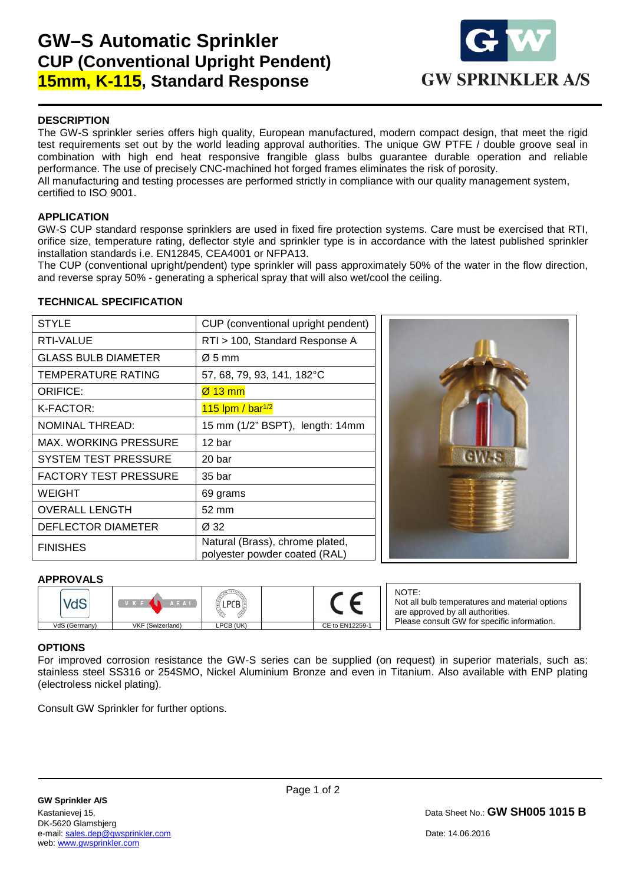# **GW–S Automatic Sprinkler CUP (Conventional Upright Pendent) 15mm, K-115, Standard Response**



## **DESCRIPTION**

The GW-S sprinkler series offers high quality, European manufactured, modern compact design, that meet the rigid test requirements set out by the world leading approval authorities. The unique GW PTFE / double groove seal in combination with high end heat responsive frangible glass bulbs guarantee durable operation and reliable performance. The use of precisely CNC-machined hot forged frames eliminates the risk of porosity. All manufacturing and testing processes are performed strictly in compliance with our quality management system, certified to ISO 9001.

### **APPLICATION**

GW-S CUP standard response sprinklers are used in fixed fire protection systems. Care must be exercised that RTI, orifice size, temperature rating, deflector style and sprinkler type is in accordance with the latest published sprinkler installation standards i.e. EN12845, CEA4001 or NFPA13.

The CUP (conventional upright/pendent) type sprinkler will pass approximately 50% of the water in the flow direction, and reverse spray 50% - generating a spherical spray that will also wet/cool the ceiling.

#### **TECHNICAL SPECIFICATION**

| <b>STYLE</b>                 | CUP (conventional upright pendent)                               |  |  |
|------------------------------|------------------------------------------------------------------|--|--|
| RTI-VALUE                    | RTI > 100, Standard Response A                                   |  |  |
| <b>GLASS BULB DIAMETER</b>   | $\varnothing$ 5 mm                                               |  |  |
| TEMPERATURE RATING           | 57, 68, 79, 93, 141, 182°C                                       |  |  |
| <b>ORIFICE:</b>              | $\varnothing$ 13 mm                                              |  |  |
| K-FACTOR:                    | $115$ lpm / bar <sup>1/2</sup>                                   |  |  |
| <b>NOMINAL THREAD:</b>       | 15 mm (1/2" BSPT), length: 14mm                                  |  |  |
| MAX. WORKING PRESSURE        | 12 bar                                                           |  |  |
| <b>SYSTEM TEST PRESSURE</b>  | 20 bar                                                           |  |  |
| <b>FACTORY TEST PRESSURE</b> | 35 bar                                                           |  |  |
| <b>WEIGHT</b>                | 69 grams                                                         |  |  |
| <b>OVERALL LENGTH</b>        | 52 mm                                                            |  |  |
| DEFLECTOR DIAMETER           | Ø 32                                                             |  |  |
| <b>FINISHES</b>              | Natural (Brass), chrome plated,<br>polyester powder coated (RAL) |  |  |



### **APPROVALS**

|               | <b>LEAI</b>      |           |                 |
|---------------|------------------|-----------|-----------------|
| VdS (Germany) | VKF (Swizerland) | LPCB (UK) | CE to EN12259-1 |

NOTE: Not all bulb temperatures and material options are approved by all authorities. Please consult GW for specific information.

### **OPTIONS**

1

For improved corrosion resistance the GW-S series can be supplied (on request) in superior materials, such as: stainless steel SS316 or 254SMO, Nickel Aluminium Bronze and even in Titanium. Also available with ENP plating (electroless nickel plating).

Consult GW Sprinkler for further options.